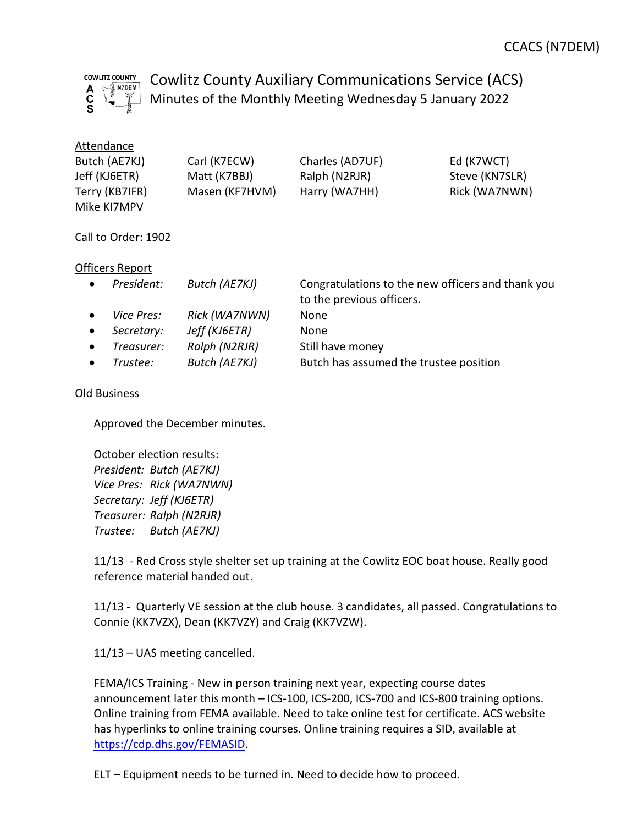

Cowlitz County Auxiliary Communications Service (ACS) Minutes of the Monthly Meeting Wednesday 5 January 2022

| Attendance     |                |                 |                |
|----------------|----------------|-----------------|----------------|
| Butch (AE7KJ)  | Carl (K7ECW)   | Charles (AD7UF) | Ed (K7WCT)     |
| Jeff (KJ6ETR)  | Matt (K7BBJ)   | Ralph (N2RJR)   | Steve (KN7SLR) |
| Terry (KB7IFR) | Masen (KF7HVM) | Harry (WA7HH)   | Rick (WA7NWN)  |
| Mike KI7MPV    |                |                 |                |

Call to Order: 1902

# Officers Report

| $\bullet$ | President:        | Butch (AE7KJ) | Congratulations to the new officers and thank you<br>to the previous officers. |
|-----------|-------------------|---------------|--------------------------------------------------------------------------------|
| $\bullet$ | <i>Vice Pres:</i> | Rick (WA7NWN) | None                                                                           |
| $\bullet$ | Secretary:        | Jeff (KJ6ETR) | <b>None</b>                                                                    |
| $\bullet$ | Treasurer:        | Ralph (N2RJR) | Still have money                                                               |
|           | Trustee:          | Butch (AE7KJ) | Butch has assumed the trustee position                                         |

### Old Business

Approved the December minutes.

#### October election results:

President: Butch (AE7KJ) Vice Pres: Rick (WA7NWN) Secretary: Jeff (KJ6ETR) Treasurer: Ralph (N2RJR) Trustee: Butch (AE7KJ)

11/13 - Red Cross style shelter set up training at the Cowlitz EOC boat house. Really good reference material handed out.

11/13 - Quarterly VE session at the club house. 3 candidates, all passed. Congratulations to Connie (KK7VZX), Dean (KK7VZY) and Craig (KK7VZW).

11/13 – UAS meeting cancelled.

FEMA/ICS Training - New in person training next year, expecting course dates announcement later this month – ICS-100, ICS-200, ICS-700 and ICS-800 training options. Online training from FEMA available. Need to take online test for certificate. ACS website has hyperlinks to online training courses. Online training requires a SID, available at https://cdp.dhs.gov/FEMASID.

ELT – Equipment needs to be turned in. Need to decide how to proceed.